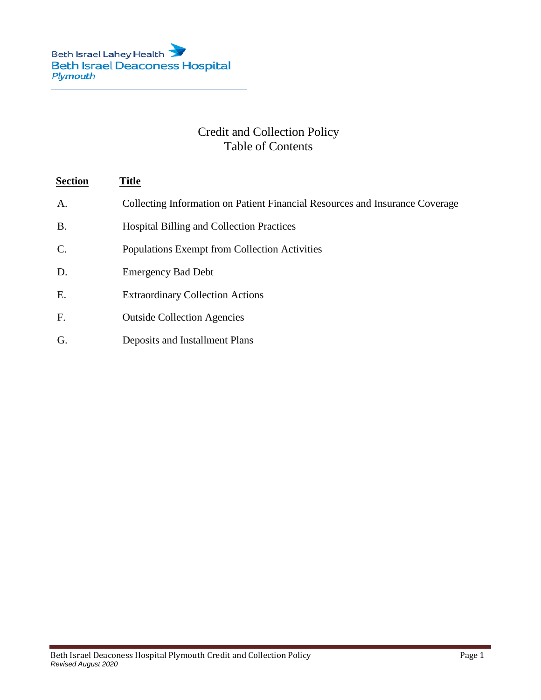# Credit and Collection Policy Table of Contents

# **Section Title**

- A. Collecting Information on Patient Financial Resources and Insurance Coverage
- B. Hospital Billing and Collection Practices
- C. Populations Exempt from Collection Activities
- D. Emergency Bad Debt
- E. Extraordinary Collection Actions
- F. Outside Collection Agencies
- G. Deposits and Installment Plans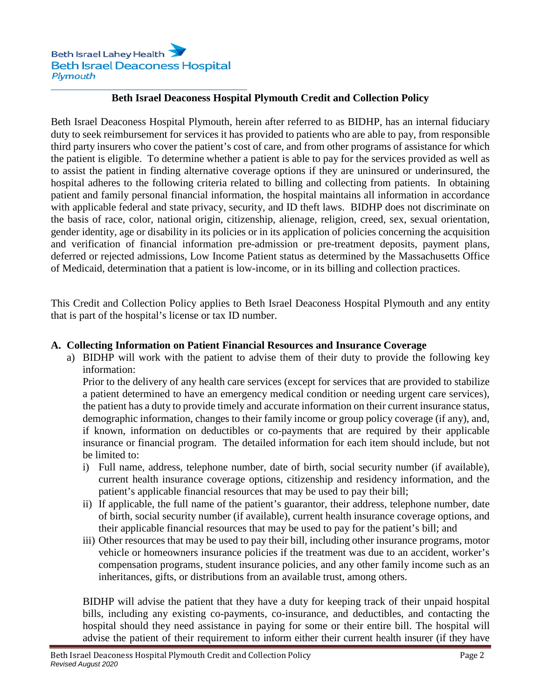## **Beth Israel Deaconess Hospital Plymouth Credit and Collection Policy**

Beth Israel Deaconess Hospital Plymouth, herein after referred to as BIDHP, has an internal fiduciary duty to seek reimbursement for services it has provided to patients who are able to pay, from responsible third party insurers who cover the patient's cost of care, and from other programs of assistance for which the patient is eligible. To determine whether a patient is able to pay for the services provided as well as to assist the patient in finding alternative coverage options if they are uninsured or underinsured, the hospital adheres to the following criteria related to billing and collecting from patients. In obtaining patient and family personal financial information, the hospital maintains all information in accordance with applicable federal and state privacy, security, and ID theft laws. BIDHP does not discriminate on the basis of race, color, national origin, citizenship, alienage, religion, creed, sex, sexual orientation, gender identity, age or disability in its policies or in its application of policies concerning the acquisition and verification of financial information pre-admission or pre-treatment deposits, payment plans, deferred or rejected admissions, Low Income Patient status as determined by the Massachusetts Office of Medicaid, determination that a patient is low-income, or in its billing and collection practices.

This Credit and Collection Policy applies to Beth Israel Deaconess Hospital Plymouth and any entity that is part of the hospital's license or tax ID number.

#### **A. Collecting Information on Patient Financial Resources and Insurance Coverage**

a) BIDHP will work with the patient to advise them of their duty to provide the following key information:

Prior to the delivery of any health care services (except for services that are provided to stabilize a patient determined to have an emergency medical condition or needing urgent care services), the patient has a duty to provide timely and accurate information on their current insurance status, demographic information, changes to their family income or group policy coverage (if any), and, if known, information on deductibles or co-payments that are required by their applicable insurance or financial program. The detailed information for each item should include, but not be limited to:

- i) Full name, address, telephone number, date of birth, social security number (if available), current health insurance coverage options, citizenship and residency information, and the patient's applicable financial resources that may be used to pay their bill;
- ii) If applicable, the full name of the patient's guarantor, their address, telephone number, date of birth, social security number (if available), current health insurance coverage options, and their applicable financial resources that may be used to pay for the patient's bill; and
- iii) Other resources that may be used to pay their bill, including other insurance programs, motor vehicle or homeowners insurance policies if the treatment was due to an accident, worker's compensation programs, student insurance policies, and any other family income such as an inheritances, gifts, or distributions from an available trust, among others.

BIDHP will advise the patient that they have a duty for keeping track of their unpaid hospital bills, including any existing co-payments, co-insurance, and deductibles, and contacting the hospital should they need assistance in paying for some or their entire bill. The hospital will advise the patient of their requirement to inform either their current health insurer (if they have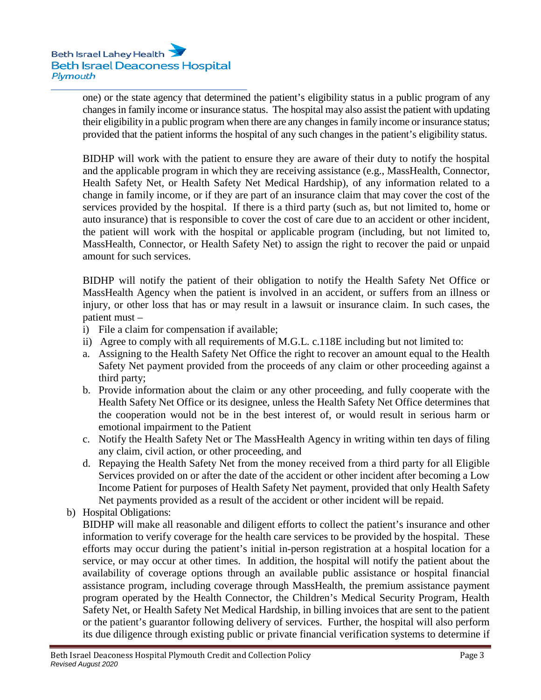one) or the state agency that determined the patient's eligibility status in a public program of any changes in family income or insurance status. The hospital may also assist the patient with updating their eligibility in a public program when there are any changes in family income or insurance status; provided that the patient informs the hospital of any such changes in the patient's eligibility status.

BIDHP will work with the patient to ensure they are aware of their duty to notify the hospital and the applicable program in which they are receiving assistance (e.g., MassHealth, Connector, Health Safety Net, or Health Safety Net Medical Hardship), of any information related to a change in family income, or if they are part of an insurance claim that may cover the cost of the services provided by the hospital. If there is a third party (such as, but not limited to, home or auto insurance) that is responsible to cover the cost of care due to an accident or other incident, the patient will work with the hospital or applicable program (including, but not limited to, MassHealth, Connector, or Health Safety Net) to assign the right to recover the paid or unpaid amount for such services.

BIDHP will notify the patient of their obligation to notify the Health Safety Net Office or MassHealth Agency when the patient is involved in an accident, or suffers from an illness or injury, or other loss that has or may result in a lawsuit or insurance claim. In such cases, the patient must –

- i) File a claim for compensation if available;
- ii) Agree to comply with all requirements of M.G.L. c.118E including but not limited to:
- a. Assigning to the Health Safety Net Office the right to recover an amount equal to the Health Safety Net payment provided from the proceeds of any claim or other proceeding against a third party;
- b. Provide information about the claim or any other proceeding, and fully cooperate with the Health Safety Net Office or its designee, unless the Health Safety Net Office determines that the cooperation would not be in the best interest of, or would result in serious harm or emotional impairment to the Patient
- c. Notify the Health Safety Net or The MassHealth Agency in writing within ten days of filing any claim, civil action, or other proceeding, and
- d. Repaying the Health Safety Net from the money received from a third party for all Eligible Services provided on or after the date of the accident or other incident after becoming a Low Income Patient for purposes of Health Safety Net payment, provided that only Health Safety Net payments provided as a result of the accident or other incident will be repaid.
- b) Hospital Obligations:

BIDHP will make all reasonable and diligent efforts to collect the patient's insurance and other information to verify coverage for the health care services to be provided by the hospital. These efforts may occur during the patient's initial in-person registration at a hospital location for a service, or may occur at other times. In addition, the hospital will notify the patient about the availability of coverage options through an available public assistance or hospital financial assistance program, including coverage through MassHealth, the premium assistance payment program operated by the Health Connector, the Children's Medical Security Program, Health Safety Net, or Health Safety Net Medical Hardship, in billing invoices that are sent to the patient or the patient's guarantor following delivery of services. Further, the hospital will also perform its due diligence through existing public or private financial verification systems to determine if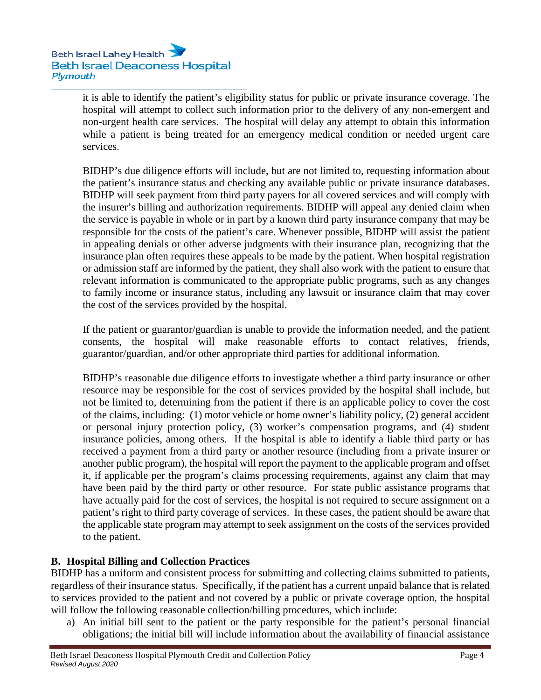it is able to identify the patient's eligibility status for public or private insurance coverage. The hospital will attempt to collect such information prior to the delivery of any non-emergent and non-urgent health care services. The hospital will delay any attempt to obtain this information while a patient is being treated for an emergency medical condition or needed urgent care services.

BIDHP's due diligence efforts will include, but are not limited to, requesting information about the patient's insurance status and checking any available public or private insurance databases. BIDHP will seek payment from third party payers for all covered services and will comply with the insurer's billing and authorization requirements. BIDHP will appeal any denied claim when the service is payable in whole or in part by a known third party insurance company that may be responsible for the costs of the patient's care. Whenever possible, BIDHP will assist the patient in appealing denials or other adverse judgments with their insurance plan, recognizing that the insurance plan often requires these appeals to be made by the patient. When hospital registration or admission staff are informed by the patient, they shall also work with the patient to ensure that relevant information is communicated to the appropriate public programs, such as any changes to family income or insurance status, including any lawsuit or insurance claim that may cover the cost of the services provided by the hospital.

If the patient or guarantor/guardian is unable to provide the information needed, and the patient consents, the hospital will make reasonable efforts to contact relatives, friends, guarantor/guardian, and/or other appropriate third parties for additional information.

BIDHP's reasonable due diligence efforts to investigate whether a third party insurance or other resource may be responsible for the cost of services provided by the hospital shall include, but not be limited to, determining from the patient if there is an applicable policy to cover the cost of the claims, including: (1) motor vehicle or home owner's liability policy, (2) general accident or personal injury protection policy, (3) worker's compensation programs, and (4) student insurance policies, among others. If the hospital is able to identify a liable third party or has received a payment from a third party or another resource (including from a private insurer or another public program), the hospital will report the payment to the applicable program and offset it, if applicable per the program's claims processing requirements, against any claim that may have been paid by the third party or other resource. For state public assistance programs that have actually paid for the cost of services, the hospital is not required to secure assignment on a patient's right to third party coverage of services. In these cases, the patient should be aware that the applicable state program may attempt to seek assignment on the costs of the services provided to the patient.

# **B. Hospital Billing and Collection Practices**

BIDHP has a uniform and consistent process for submitting and collecting claims submitted to patients, regardless of their insurance status. Specifically, if the patient has a current unpaid balance that is related to services provided to the patient and not covered by a public or private coverage option, the hospital will follow the following reasonable collection/billing procedures, which include:

a) An initial bill sent to the patient or the party responsible for the patient's personal financial obligations; the initial bill will include information about the availability of financial assistance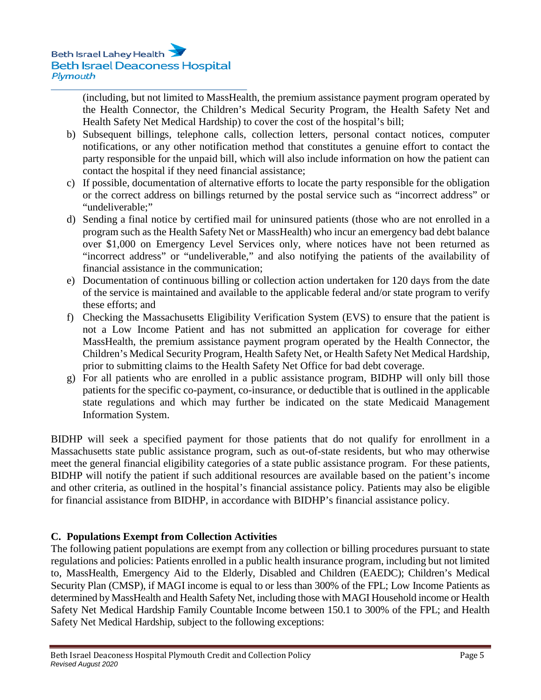(including, but not limited to MassHealth, the premium assistance payment program operated by the Health Connector, the Children's Medical Security Program, the Health Safety Net and Health Safety Net Medical Hardship) to cover the cost of the hospital's bill;

- b) Subsequent billings, telephone calls, collection letters, personal contact notices, computer notifications, or any other notification method that constitutes a genuine effort to contact the party responsible for the unpaid bill, which will also include information on how the patient can contact the hospital if they need financial assistance;
- c) If possible, documentation of alternative efforts to locate the party responsible for the obligation or the correct address on billings returned by the postal service such as "incorrect address" or "undeliverable;"
- d) Sending a final notice by certified mail for uninsured patients (those who are not enrolled in a program such as the Health Safety Net or MassHealth) who incur an emergency bad debt balance over \$1,000 on Emergency Level Services only, where notices have not been returned as "incorrect address" or "undeliverable," and also notifying the patients of the availability of financial assistance in the communication;
- e) Documentation of continuous billing or collection action undertaken for 120 days from the date of the service is maintained and available to the applicable federal and/or state program to verify these efforts; and
- f) Checking the Massachusetts Eligibility Verification System (EVS) to ensure that the patient is not a Low Income Patient and has not submitted an application for coverage for either MassHealth, the premium assistance payment program operated by the Health Connector, the Children's Medical Security Program, Health Safety Net, or Health Safety Net Medical Hardship, prior to submitting claims to the Health Safety Net Office for bad debt coverage.
- g) For all patients who are enrolled in a public assistance program, BIDHP will only bill those patients for the specific co-payment, co-insurance, or deductible that is outlined in the applicable state regulations and which may further be indicated on the state Medicaid Management Information System.

BIDHP will seek a specified payment for those patients that do not qualify for enrollment in a Massachusetts state public assistance program, such as out-of-state residents, but who may otherwise meet the general financial eligibility categories of a state public assistance program. For these patients, BIDHP will notify the patient if such additional resources are available based on the patient's income and other criteria, as outlined in the hospital's financial assistance policy. Patients may also be eligible for financial assistance from BIDHP, in accordance with BIDHP's financial assistance policy.

# **C. Populations Exempt from Collection Activities**

The following patient populations are exempt from any collection or billing procedures pursuant to state regulations and policies: Patients enrolled in a public health insurance program, including but not limited to, MassHealth, Emergency Aid to the Elderly, Disabled and Children (EAEDC); Children's Medical Security Plan (CMSP), if MAGI income is equal to or less than 300% of the FPL; Low Income Patients as determined by MassHealth and Health Safety Net, including those with MAGI Household income or Health Safety Net Medical Hardship Family Countable Income between 150.1 to 300% of the FPL; and Health Safety Net Medical Hardship, subject to the following exceptions: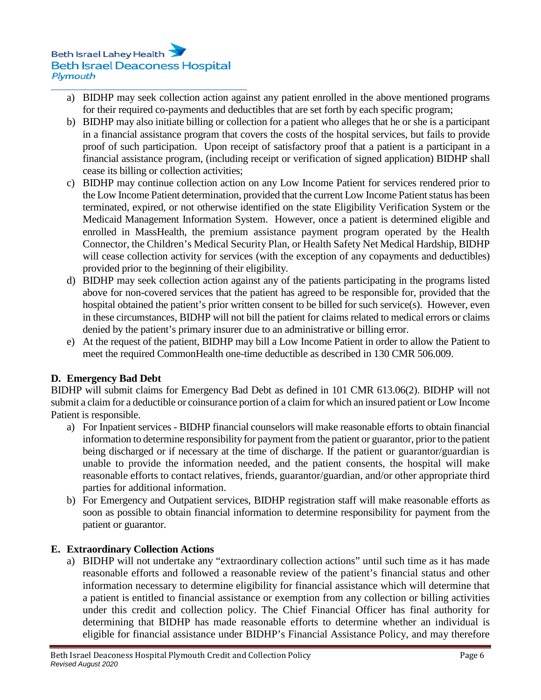- a) BIDHP may seek collection action against any patient enrolled in the above mentioned programs for their required co-payments and deductibles that are set forth by each specific program;
- b) BIDHP may also initiate billing or collection for a patient who alleges that he or she is a participant in a financial assistance program that covers the costs of the hospital services, but fails to provide proof of such participation. Upon receipt of satisfactory proof that a patient is a participant in a financial assistance program, (including receipt or verification of signed application) BIDHP shall cease its billing or collection activities;
- c) BIDHP may continue collection action on any Low Income Patient for services rendered prior to the Low Income Patient determination, provided that the current Low Income Patient status has been terminated, expired, or not otherwise identified on the state Eligibility Verification System or the Medicaid Management Information System. However, once a patient is determined eligible and enrolled in MassHealth, the premium assistance payment program operated by the Health Connector, the Children's Medical Security Plan, or Health Safety Net Medical Hardship, BIDHP will cease collection activity for services (with the exception of any copayments and deductibles) provided prior to the beginning of their eligibility.
- d) BIDHP may seek collection action against any of the patients participating in the programs listed above for non-covered services that the patient has agreed to be responsible for, provided that the hospital obtained the patient's prior written consent to be billed for such service(s). However, even in these circumstances, BIDHP will not bill the patient for claims related to medical errors or claims denied by the patient's primary insurer due to an administrative or billing error.
- e) At the request of the patient, BIDHP may bill a Low Income Patient in order to allow the Patient to meet the required CommonHealth one-time deductible as described in 130 CMR 506.009.

### **D. Emergency Bad Debt**

BIDHP will submit claims for Emergency Bad Debt as defined in 101 CMR 613.06(2). BIDHP will not submit a claim for a deductible or coinsurance portion of a claim for which an insured patient or Low Income Patient is responsible.

- a) For Inpatient services BIDHP financial counselors will make reasonable efforts to obtain financial information to determine responsibility for payment from the patient or guarantor, prior to the patient being discharged or if necessary at the time of discharge. If the patient or guarantor/guardian is unable to provide the information needed, and the patient consents, the hospital will make reasonable efforts to contact relatives, friends, guarantor/guardian, and/or other appropriate third parties for additional information.
- b) For Emergency and Outpatient services, BIDHP registration staff will make reasonable efforts as soon as possible to obtain financial information to determine responsibility for payment from the patient or guarantor.

### **E. Extraordinary Collection Actions**

a) BIDHP will not undertake any "extraordinary collection actions" until such time as it has made reasonable efforts and followed a reasonable review of the patient's financial status and other information necessary to determine eligibility for financial assistance which will determine that a patient is entitled to financial assistance or exemption from any collection or billing activities under this credit and collection policy. The Chief Financial Officer has final authority for determining that BIDHP has made reasonable efforts to determine whether an individual is eligible for financial assistance under BIDHP's Financial Assistance Policy, and may therefore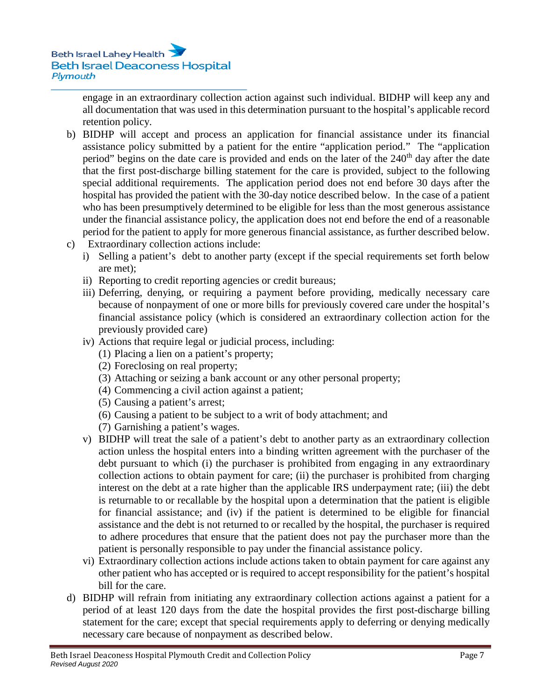engage in an extraordinary collection action against such individual. BIDHP will keep any and all documentation that was used in this determination pursuant to the hospital's applicable record retention policy.

- b) BIDHP will accept and process an application for financial assistance under its financial assistance policy submitted by a patient for the entire "application period." The "application period" begins on the date care is provided and ends on the later of the 240<sup>th</sup> day after the date that the first post-discharge billing statement for the care is provided, subject to the following special additional requirements. The application period does not end before 30 days after the hospital has provided the patient with the 30-day notice described below. In the case of a patient who has been presumptively determined to be eligible for less than the most generous assistance under the financial assistance policy, the application does not end before the end of a reasonable period for the patient to apply for more generous financial assistance, as further described below.
- c) Extraordinary collection actions include:
	- i) Selling a patient's debt to another party (except if the special requirements set forth below are met);
	- ii) Reporting to credit reporting agencies or credit bureaus;
	- iii) Deferring, denying, or requiring a payment before providing, medically necessary care because of nonpayment of one or more bills for previously covered care under the hospital's financial assistance policy (which is considered an extraordinary collection action for the previously provided care)
	- iv) Actions that require legal or judicial process, including:
		- (1) Placing a lien on a patient's property;
		- (2) Foreclosing on real property;
		- (3) Attaching or seizing a bank account or any other personal property;
		- (4) Commencing a civil action against a patient;
		- (5) Causing a patient's arrest;
		- (6) Causing a patient to be subject to a writ of body attachment; and
		- (7) Garnishing a patient's wages.
	- v) BIDHP will treat the sale of a patient's debt to another party as an extraordinary collection action unless the hospital enters into a binding written agreement with the purchaser of the debt pursuant to which (i) the purchaser is prohibited from engaging in any extraordinary collection actions to obtain payment for care; (ii) the purchaser is prohibited from charging interest on the debt at a rate higher than the applicable IRS underpayment rate; (iii) the debt is returnable to or recallable by the hospital upon a determination that the patient is eligible for financial assistance; and (iv) if the patient is determined to be eligible for financial assistance and the debt is not returned to or recalled by the hospital, the purchaser is required to adhere procedures that ensure that the patient does not pay the purchaser more than the patient is personally responsible to pay under the financial assistance policy.
	- vi) Extraordinary collection actions include actions taken to obtain payment for care against any other patient who has accepted or is required to accept responsibility for the patient's hospital bill for the care.
- d) BIDHP will refrain from initiating any extraordinary collection actions against a patient for a period of at least 120 days from the date the hospital provides the first post-discharge billing statement for the care; except that special requirements apply to deferring or denying medically necessary care because of nonpayment as described below.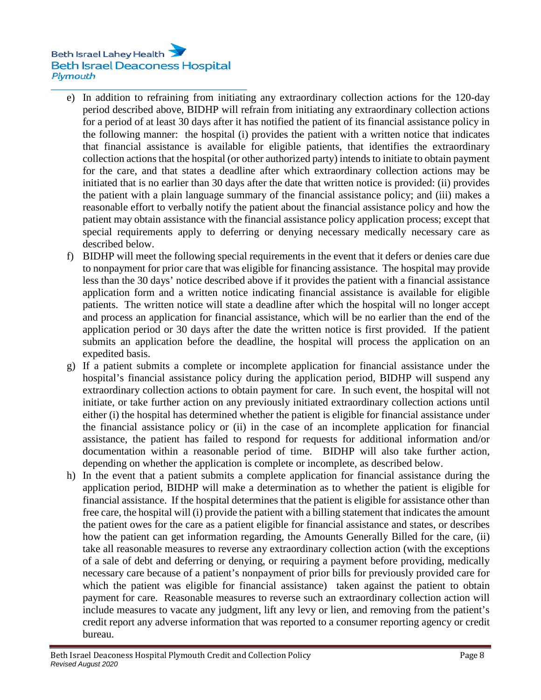- e) In addition to refraining from initiating any extraordinary collection actions for the 120-day period described above, BIDHP will refrain from initiating any extraordinary collection actions for a period of at least 30 days after it has notified the patient of its financial assistance policy in the following manner: the hospital (i) provides the patient with a written notice that indicates that financial assistance is available for eligible patients, that identifies the extraordinary collection actions that the hospital (or other authorized party) intends to initiate to obtain payment for the care, and that states a deadline after which extraordinary collection actions may be initiated that is no earlier than 30 days after the date that written notice is provided: (ii) provides the patient with a plain language summary of the financial assistance policy; and (iii) makes a reasonable effort to verbally notify the patient about the financial assistance policy and how the patient may obtain assistance with the financial assistance policy application process; except that special requirements apply to deferring or denying necessary medically necessary care as described below.
- f) BIDHP will meet the following special requirements in the event that it defers or denies care due to nonpayment for prior care that was eligible for financing assistance. The hospital may provide less than the 30 days' notice described above if it provides the patient with a financial assistance application form and a written notice indicating financial assistance is available for eligible patients. The written notice will state a deadline after which the hospital will no longer accept and process an application for financial assistance, which will be no earlier than the end of the application period or 30 days after the date the written notice is first provided. If the patient submits an application before the deadline, the hospital will process the application on an expedited basis.
- g) If a patient submits a complete or incomplete application for financial assistance under the hospital's financial assistance policy during the application period, BIDHP will suspend any extraordinary collection actions to obtain payment for care. In such event, the hospital will not initiate, or take further action on any previously initiated extraordinary collection actions until either (i) the hospital has determined whether the patient is eligible for financial assistance under the financial assistance policy or (ii) in the case of an incomplete application for financial assistance, the patient has failed to respond for requests for additional information and/or documentation within a reasonable period of time. BIDHP will also take further action, depending on whether the application is complete or incomplete, as described below.
- h) In the event that a patient submits a complete application for financial assistance during the application period, BIDHP will make a determination as to whether the patient is eligible for financial assistance. If the hospital determines that the patient is eligible for assistance other than free care, the hospital will (i) provide the patient with a billing statement that indicates the amount the patient owes for the care as a patient eligible for financial assistance and states, or describes how the patient can get information regarding, the Amounts Generally Billed for the care, (ii) take all reasonable measures to reverse any extraordinary collection action (with the exceptions of a sale of debt and deferring or denying, or requiring a payment before providing, medically necessary care because of a patient's nonpayment of prior bills for previously provided care for which the patient was eligible for financial assistance) taken against the patient to obtain payment for care. Reasonable measures to reverse such an extraordinary collection action will include measures to vacate any judgment, lift any levy or lien, and removing from the patient's credit report any adverse information that was reported to a consumer reporting agency or credit bureau.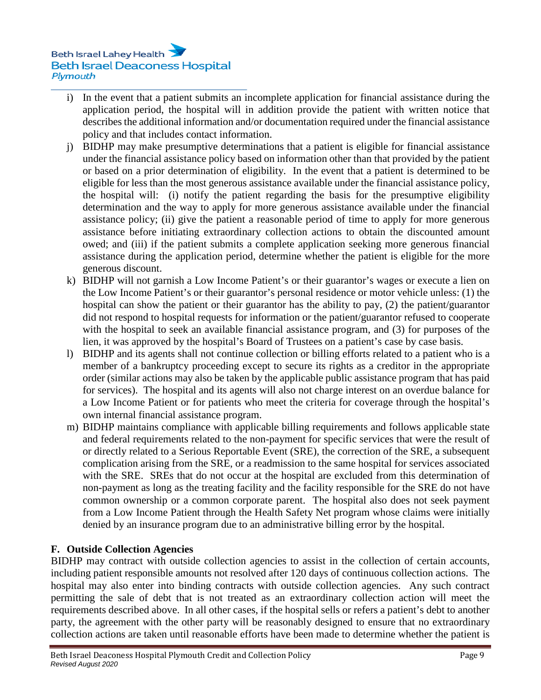- i) In the event that a patient submits an incomplete application for financial assistance during the application period, the hospital will in addition provide the patient with written notice that describes the additional information and/or documentation required under the financial assistance policy and that includes contact information.
- j) BIDHP may make presumptive determinations that a patient is eligible for financial assistance under the financial assistance policy based on information other than that provided by the patient or based on a prior determination of eligibility. In the event that a patient is determined to be eligible for less than the most generous assistance available under the financial assistance policy, the hospital will: (i) notify the patient regarding the basis for the presumptive eligibility determination and the way to apply for more generous assistance available under the financial assistance policy; (ii) give the patient a reasonable period of time to apply for more generous assistance before initiating extraordinary collection actions to obtain the discounted amount owed; and (iii) if the patient submits a complete application seeking more generous financial assistance during the application period, determine whether the patient is eligible for the more generous discount.
- k) BIDHP will not garnish a Low Income Patient's or their guarantor's wages or execute a lien on the Low Income Patient's or their guarantor's personal residence or motor vehicle unless: (1) the hospital can show the patient or their guarantor has the ability to pay, (2) the patient/guarantor did not respond to hospital requests for information or the patient/guarantor refused to cooperate with the hospital to seek an available financial assistance program, and (3) for purposes of the lien, it was approved by the hospital's Board of Trustees on a patient's case by case basis.
- l) BIDHP and its agents shall not continue collection or billing efforts related to a patient who is a member of a bankruptcy proceeding except to secure its rights as a creditor in the appropriate order (similar actions may also be taken by the applicable public assistance program that has paid for services). The hospital and its agents will also not charge interest on an overdue balance for a Low Income Patient or for patients who meet the criteria for coverage through the hospital's own internal financial assistance program.
- m) BIDHP maintains compliance with applicable billing requirements and follows applicable state and federal requirements related to the non-payment for specific services that were the result of or directly related to a Serious Reportable Event (SRE), the correction of the SRE, a subsequent complication arising from the SRE, or a readmission to the same hospital for services associated with the SRE. SREs that do not occur at the hospital are excluded from this determination of non-payment as long as the treating facility and the facility responsible for the SRE do not have common ownership or a common corporate parent. The hospital also does not seek payment from a Low Income Patient through the Health Safety Net program whose claims were initially denied by an insurance program due to an administrative billing error by the hospital.

# **F. Outside Collection Agencies**

BIDHP may contract with outside collection agencies to assist in the collection of certain accounts, including patient responsible amounts not resolved after 120 days of continuous collection actions. The hospital may also enter into binding contracts with outside collection agencies. Any such contract permitting the sale of debt that is not treated as an extraordinary collection action will meet the requirements described above. In all other cases, if the hospital sells or refers a patient's debt to another party, the agreement with the other party will be reasonably designed to ensure that no extraordinary collection actions are taken until reasonable efforts have been made to determine whether the patient is